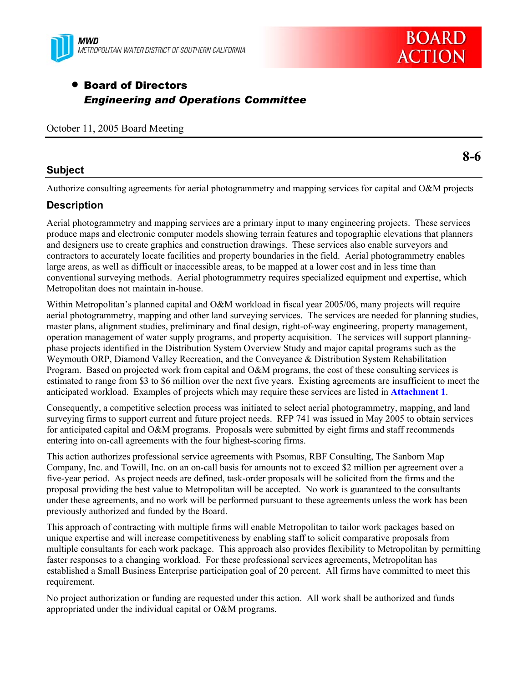



**8-6** 

# • Board of Directors *Engineering and Operations Committee*

October 11, 2005 Board Meeting

## **Subject**

Authorize consulting agreements for aerial photogrammetry and mapping services for capital and O&M projects

## **Description**

Aerial photogrammetry and mapping services are a primary input to many engineering projects. These services produce maps and electronic computer models showing terrain features and topographic elevations that planners and designers use to create graphics and construction drawings. These services also enable surveyors and contractors to accurately locate facilities and property boundaries in the field. Aerial photogrammetry enables large areas, as well as difficult or inaccessible areas, to be mapped at a lower cost and in less time than conventional surveying methods. Aerial photogrammetry requires specialized equipment and expertise, which Metropolitan does not maintain in-house.

Within Metropolitan's planned capital and O&M workload in fiscal year 2005/06, many projects will require aerial photogrammetry, mapping and other land surveying services. The services are needed for planning studies, master plans, alignment studies, preliminary and final design, right-of-way engineering, property management, operation management of water supply programs, and property acquisition. The services will support planningphase projects identified in the Distribution System Overview Study and major capital programs such as the Weymouth ORP, Diamond Valley Recreation, and the Conveyance & Distribution System Rehabilitation Program. Based on projected work from capital and O&M programs, the cost of these consulting services is estimated to range from \$3 to \$6 million over the next five years. Existing agreements are insufficient to meet the anticipated workload. Examples of projects which may require these services are listed in **Attachment 1**.

Consequently, a competitive selection process was initiated to select aerial photogrammetry, mapping, and land surveying firms to support current and future project needs. RFP 741 was issued in May 2005 to obtain services for anticipated capital and O&M programs. Proposals were submitted by eight firms and staff recommends entering into on-call agreements with the four highest-scoring firms.

This action authorizes professional service agreements with Psomas, RBF Consulting, The Sanborn Map Company, Inc. and Towill, Inc. on an on-call basis for amounts not to exceed \$2 million per agreement over a five-year period. As project needs are defined, task-order proposals will be solicited from the firms and the proposal providing the best value to Metropolitan will be accepted. No work is guaranteed to the consultants under these agreements, and no work will be performed pursuant to these agreements unless the work has been previously authorized and funded by the Board.

This approach of contracting with multiple firms will enable Metropolitan to tailor work packages based on unique expertise and will increase competitiveness by enabling staff to solicit comparative proposals from multiple consultants for each work package. This approach also provides flexibility to Metropolitan by permitting faster responses to a changing workload. For these professional services agreements, Metropolitan has established a Small Business Enterprise participation goal of 20 percent. All firms have committed to meet this requirement.

No project authorization or funding are requested under this action. All work shall be authorized and funds appropriated under the individual capital or O&M programs.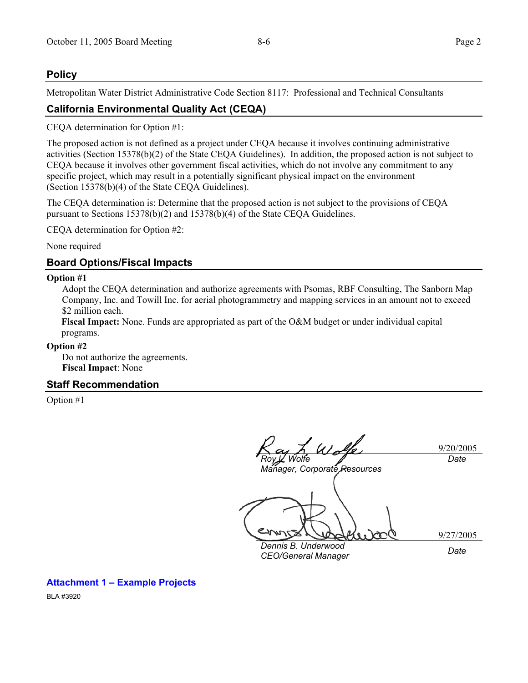#### **Policy**

Metropolitan Water District Administrative Code Section 8117: Professional and Technical Consultants

## **California Environmental Quality Act (CEQA)**

CEQA determination for Option #1:

The proposed action is not defined as a project under CEQA because it involves continuing administrative activities (Section 15378(b)(2) of the State CEQA Guidelines). In addition, the proposed action is not subject to CEQA because it involves other government fiscal activities, which do not involve any commitment to any specific project, which may result in a potentially significant physical impact on the environment (Section 15378(b)(4) of the State CEQA Guidelines).

The CEQA determination is: Determine that the proposed action is not subject to the provisions of CEQA pursuant to Sections 15378(b)(2) and 15378(b)(4) of the State CEQA Guidelines.

CEQA determination for Option #2:

None required

#### **Board Options/Fiscal Impacts**

#### **Option #1**

Adopt the CEQA determination and authorize agreements with Psomas, RBF Consulting, The Sanborn Map Company, Inc. and Towill Inc. for aerial photogrammetry and mapping services in an amount not to exceed \$2 million each.

**Fiscal Impact:** None. Funds are appropriated as part of the O&M budget or under individual capital programs.

#### **Option #2**

Do not authorize the agreements. **Fiscal Impact**: None

#### **Staff Recommendation**

Option #1

9/20/2005 *Roy L. Wolfe Date* 

*Manager, Corporate Resources* 

9/27/2005

*Dennis B. Underwood CEO/General Manager Date* 

**Attachment 1 – Example Projects** 

BLA #3920